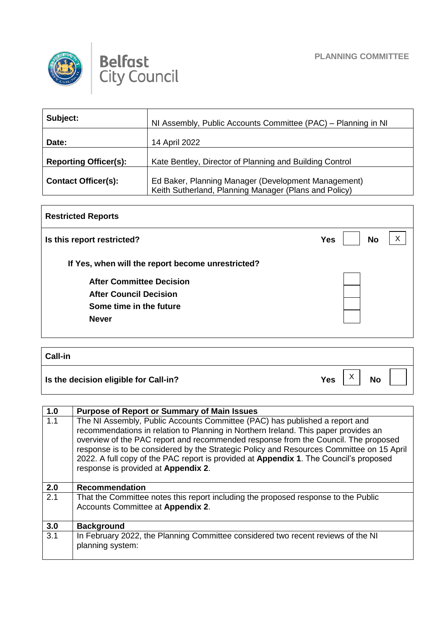



| Subject:                     | NI Assembly, Public Accounts Committee (PAC) – Planning in NI                                                |
|------------------------------|--------------------------------------------------------------------------------------------------------------|
| Date:                        | 14 April 2022                                                                                                |
| <b>Reporting Officer(s):</b> | Kate Bentley, Director of Planning and Building Control                                                      |
| <b>Contact Officer(s):</b>   | Ed Baker, Planning Manager (Development Management)<br>Keith Sutherland, Planning Manager (Plans and Policy) |

| <b>Restricted Reports</b>                         |            |           |  |
|---------------------------------------------------|------------|-----------|--|
| Is this report restricted?                        | <b>Yes</b> | <b>No</b> |  |
| If Yes, when will the report become unrestricted? |            |           |  |
| <b>After Committee Decision</b>                   |            |           |  |
| <b>After Council Decision</b>                     |            |           |  |
| Some time in the future                           |            |           |  |
| <b>Never</b>                                      |            |           |  |
|                                                   |            |           |  |

| <b>Call-in</b>                        |     |                   |           |  |
|---------------------------------------|-----|-------------------|-----------|--|
| Is the decision eligible for Call-in? | Yes | $\checkmark$<br>∧ | <b>No</b> |  |

| 1.0 | <b>Purpose of Report or Summary of Main Issues</b>                                                                                                                                                                                                                                                                                                                                                                                                                                   |
|-----|--------------------------------------------------------------------------------------------------------------------------------------------------------------------------------------------------------------------------------------------------------------------------------------------------------------------------------------------------------------------------------------------------------------------------------------------------------------------------------------|
| 1.1 | The NI Assembly, Public Accounts Committee (PAC) has published a report and<br>recommendations in relation to Planning in Northern Ireland. This paper provides an<br>overview of the PAC report and recommended response from the Council. The proposed<br>response is to be considered by the Strategic Policy and Resources Committee on 15 April<br>2022. A full copy of the PAC report is provided at Appendix 1. The Council's proposed<br>response is provided at Appendix 2. |
| 2.0 | <b>Recommendation</b>                                                                                                                                                                                                                                                                                                                                                                                                                                                                |
| 2.1 | That the Committee notes this report including the proposed response to the Public<br>Accounts Committee at Appendix 2.                                                                                                                                                                                                                                                                                                                                                              |
| 3.0 | <b>Background</b>                                                                                                                                                                                                                                                                                                                                                                                                                                                                    |
| 3.1 | In February 2022, the Planning Committee considered two recent reviews of the NI<br>planning system:                                                                                                                                                                                                                                                                                                                                                                                 |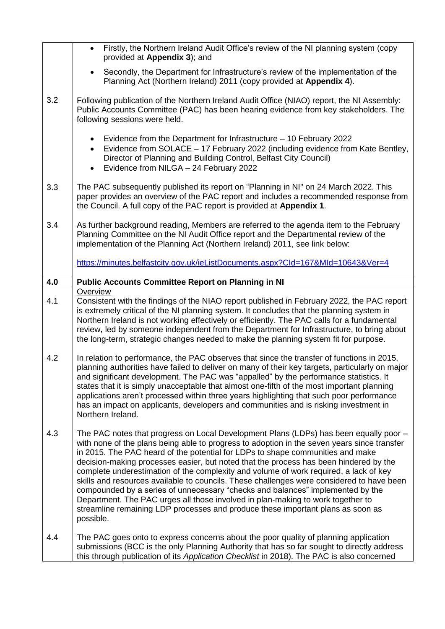|     | Firstly, the Northern Ireland Audit Office's review of the NI planning system (copy<br>$\bullet$<br>provided at Appendix 3); and                                                                                                                                                                                                                                                                                                                                                                                                                                                                                                                                                                                                                                                                                           |
|-----|----------------------------------------------------------------------------------------------------------------------------------------------------------------------------------------------------------------------------------------------------------------------------------------------------------------------------------------------------------------------------------------------------------------------------------------------------------------------------------------------------------------------------------------------------------------------------------------------------------------------------------------------------------------------------------------------------------------------------------------------------------------------------------------------------------------------------|
|     | Secondly, the Department for Infrastructure's review of the implementation of the<br>$\bullet$<br>Planning Act (Northern Ireland) 2011 (copy provided at Appendix 4).                                                                                                                                                                                                                                                                                                                                                                                                                                                                                                                                                                                                                                                      |
| 3.2 | Following publication of the Northern Ireland Audit Office (NIAO) report, the NI Assembly:<br>Public Accounts Committee (PAC) has been hearing evidence from key stakeholders. The<br>following sessions were held.                                                                                                                                                                                                                                                                                                                                                                                                                                                                                                                                                                                                        |
|     | Evidence from the Department for Infrastructure - 10 February 2022<br>$\bullet$<br>Evidence from SOLACE - 17 February 2022 (including evidence from Kate Bentley,<br>$\bullet$<br>Director of Planning and Building Control, Belfast City Council)<br>Evidence from NILGA - 24 February 2022<br>$\bullet$                                                                                                                                                                                                                                                                                                                                                                                                                                                                                                                  |
| 3.3 | The PAC subsequently published its report on "Planning in NI" on 24 March 2022. This<br>paper provides an overview of the PAC report and includes a recommended response from<br>the Council. A full copy of the PAC report is provided at Appendix 1.                                                                                                                                                                                                                                                                                                                                                                                                                                                                                                                                                                     |
| 3.4 | As further background reading, Members are referred to the agenda item to the February<br>Planning Committee on the NI Audit Office report and the Departmental review of the<br>implementation of the Planning Act (Northern Ireland) 2011, see link below:                                                                                                                                                                                                                                                                                                                                                                                                                                                                                                                                                               |
|     | https://minutes.belfastcity.gov.uk/ieListDocuments.aspx?Cld=167&Mld=10643&Ver=4                                                                                                                                                                                                                                                                                                                                                                                                                                                                                                                                                                                                                                                                                                                                            |
| 4.0 | <b>Public Accounts Committee Report on Planning in NI</b>                                                                                                                                                                                                                                                                                                                                                                                                                                                                                                                                                                                                                                                                                                                                                                  |
| 4.1 | Overview<br>Consistent with the findings of the NIAO report published in February 2022, the PAC report<br>is extremely critical of the NI planning system. It concludes that the planning system in<br>Northern Ireland is not working effectively or efficiently. The PAC calls for a fundamental<br>review, led by someone independent from the Department for Infrastructure, to bring about<br>the long-term, strategic changes needed to make the planning system fit for purpose.                                                                                                                                                                                                                                                                                                                                    |
| 4.2 | In relation to performance, the PAC observes that since the transfer of functions in 2015,<br>planning authorities have failed to deliver on many of their key targets, particularly on major<br>and significant development. The PAC was "appalled" by the performance statistics. It<br>states that it is simply unacceptable that almost one-fifth of the most important planning<br>applications aren't processed within three years highlighting that such poor performance<br>has an impact on applicants, developers and communities and is risking investment in<br>Northern Ireland.                                                                                                                                                                                                                              |
| 4.3 | The PAC notes that progress on Local Development Plans (LDPs) has been equally poor -<br>with none of the plans being able to progress to adoption in the seven years since transfer<br>in 2015. The PAC heard of the potential for LDPs to shape communities and make<br>decision-making processes easier, but noted that the process has been hindered by the<br>complete underestimation of the complexity and volume of work required, a lack of key<br>skills and resources available to councils. These challenges were considered to have been<br>compounded by a series of unnecessary "checks and balances" implemented by the<br>Department. The PAC urges all those involved in plan-making to work together to<br>streamline remaining LDP processes and produce these important plans as soon as<br>possible. |
| 4.4 | The PAC goes onto to express concerns about the poor quality of planning application<br>submissions (BCC is the only Planning Authority that has so far sought to directly address<br>this through publication of its Application Checklist in 2018). The PAC is also concerned                                                                                                                                                                                                                                                                                                                                                                                                                                                                                                                                            |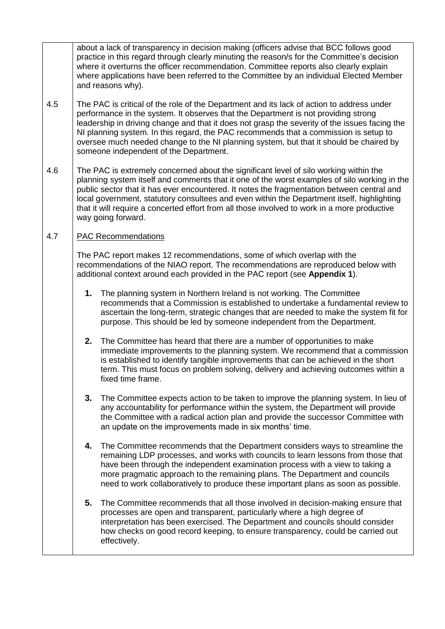about a lack of transparency in decision making (officers advise that BCC follows good practice in this regard through clearly minuting the reason/s for the Committee's decision where it overturns the officer recommendation. Committee reports also clearly explain where applications have been referred to the Committee by an individual Elected Member and reasons why).

- 4.5 The PAC is critical of the role of the Department and its lack of action to address under performance in the system. It observes that the Department is not providing strong leadership in driving change and that it does not grasp the severity of the issues facing the NI planning system. In this regard, the PAC recommends that a commission is setup to oversee much needed change to the NI planning system, but that it should be chaired by someone independent of the Department.
- 4.6 The PAC is extremely concerned about the significant level of silo working within the planning system itself and comments that it one of the worst examples of silo working in the public sector that it has ever encountered. It notes the fragmentation between central and local government, statutory consultees and even within the Department itself, highlighting that it will require a concerted effort from all those involved to work in a more productive way going forward.

## 4.7 PAC Recommendations

The PAC report makes 12 recommendations, some of which overlap with the recommendations of the NIAO report. The recommendations are reproduced below with additional context around each provided in the PAC report (see **Appendix 1**).

- **1.** The planning system in Northern Ireland is not working. The Committee recommends that a Commission is established to undertake a fundamental review to ascertain the long-term, strategic changes that are needed to make the system fit for purpose. This should be led by someone independent from the Department.
- **2.** The Committee has heard that there are a number of opportunities to make immediate improvements to the planning system. We recommend that a commission is established to identify tangible improvements that can be achieved in the short term. This must focus on problem solving, delivery and achieving outcomes within a fixed time frame.
- **3.** The Committee expects action to be taken to improve the planning system. In lieu of any accountability for performance within the system, the Department will provide the Committee with a radical action plan and provide the successor Committee with an update on the improvements made in six months' time.
- **4.** The Committee recommends that the Department considers ways to streamline the remaining LDP processes, and works with councils to learn lessons from those that have been through the independent examination process with a view to taking a more pragmatic approach to the remaining plans. The Department and councils need to work collaboratively to produce these important plans as soon as possible.
- **5.** The Committee recommends that all those involved in decision-making ensure that processes are open and transparent, particularly where a high degree of interpretation has been exercised. The Department and councils should consider how checks on good record keeping, to ensure transparency, could be carried out effectively.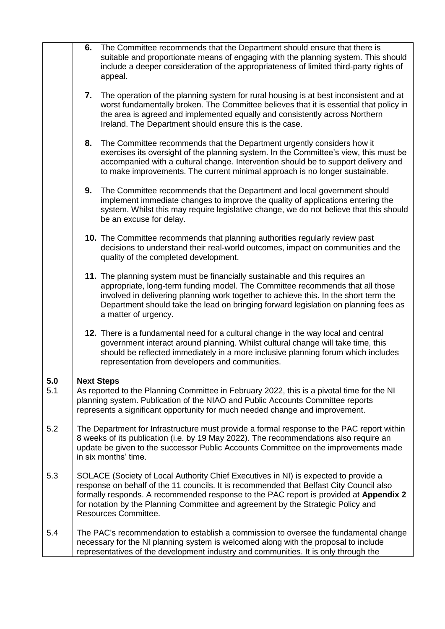|     | 6. The Committee recommends that the Department should ensure that there is<br>suitable and proportionate means of engaging with the planning system. This should<br>include a deeper consideration of the appropriateness of limited third-party rights of<br>appeal.                                                                                                              |
|-----|-------------------------------------------------------------------------------------------------------------------------------------------------------------------------------------------------------------------------------------------------------------------------------------------------------------------------------------------------------------------------------------|
|     | 7. The operation of the planning system for rural housing is at best inconsistent and at<br>worst fundamentally broken. The Committee believes that it is essential that policy in<br>the area is agreed and implemented equally and consistently across Northern<br>Ireland. The Department should ensure this is the case.                                                        |
|     | 8. The Committee recommends that the Department urgently considers how it<br>exercises its oversight of the planning system. In the Committee's view, this must be<br>accompanied with a cultural change. Intervention should be to support delivery and<br>to make improvements. The current minimal approach is no longer sustainable.                                            |
|     | 9.<br>The Committee recommends that the Department and local government should<br>implement immediate changes to improve the quality of applications entering the<br>system. Whilst this may require legislative change, we do not believe that this should<br>be an excuse for delay.                                                                                              |
|     | 10. The Committee recommends that planning authorities regularly review past<br>decisions to understand their real-world outcomes, impact on communities and the<br>quality of the completed development.                                                                                                                                                                           |
|     | 11. The planning system must be financially sustainable and this requires an<br>appropriate, long-term funding model. The Committee recommends that all those<br>involved in delivering planning work together to achieve this. In the short term the<br>Department should take the lead on bringing forward legislation on planning fees as<br>a matter of urgency.                |
|     | 12. There is a fundamental need for a cultural change in the way local and central<br>government interact around planning. Whilst cultural change will take time, this<br>should be reflected immediately in a more inclusive planning forum which includes<br>representation from developers and communities.                                                                      |
| 5.0 | <b>Next Steps</b>                                                                                                                                                                                                                                                                                                                                                                   |
| 5.1 | As reported to the Planning Committee in February 2022, this is a pivotal time for the NI<br>planning system. Publication of the NIAO and Public Accounts Committee reports<br>represents a significant opportunity for much needed change and improvement.                                                                                                                         |
| 5.2 | The Department for Infrastructure must provide a formal response to the PAC report within<br>8 weeks of its publication (i.e. by 19 May 2022). The recommendations also require an<br>update be given to the successor Public Accounts Committee on the improvements made<br>in six months' time.                                                                                   |
| 5.3 | SOLACE (Society of Local Authority Chief Executives in NI) is expected to provide a<br>response on behalf of the 11 councils. It is recommended that Belfast City Council also<br>formally responds. A recommended response to the PAC report is provided at Appendix 2<br>for notation by the Planning Committee and agreement by the Strategic Policy and<br>Resources Committee. |
| 5.4 | The PAC's recommendation to establish a commission to oversee the fundamental change<br>necessary for the NI planning system is welcomed along with the proposal to include<br>representatives of the development industry and communities. It is only through the                                                                                                                  |